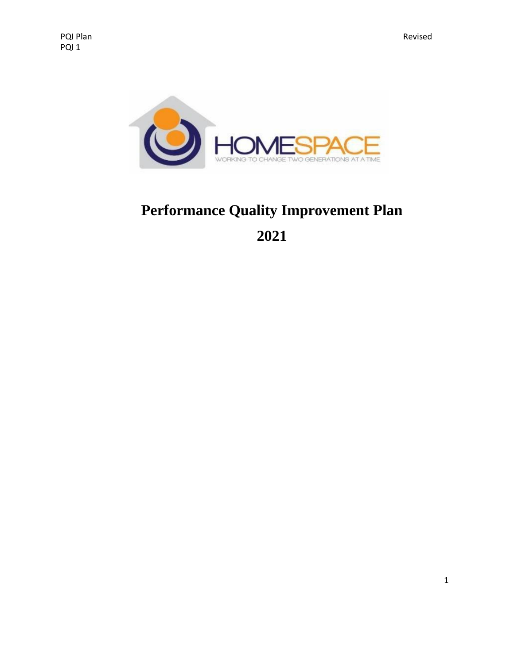

## **Performance Quality Improvement Plan 2021**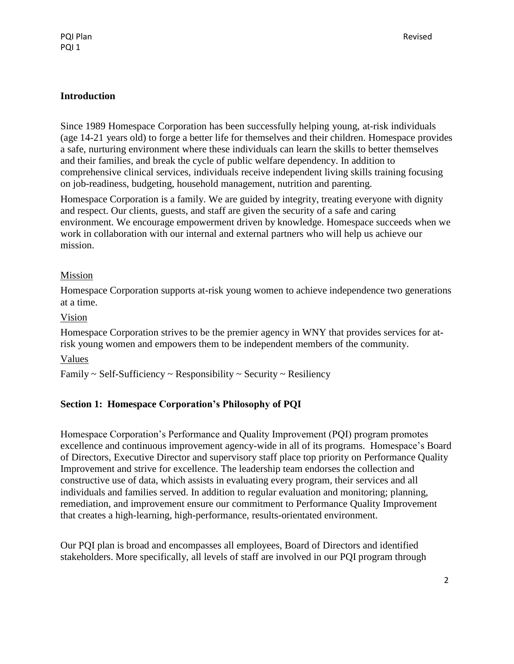#### **Introduction**

Since 1989 Homespace Corporation has been successfully helping young, at-risk individuals (age 14-21 years old) to forge a better life for themselves and their children. Homespace provides a safe, nurturing environment where these individuals can learn the skills to better themselves and their families, and break the cycle of public welfare dependency. In addition to comprehensive clinical services, individuals receive independent living skills training focusing on job-readiness, budgeting, household management, nutrition and parenting.

Homespace Corporation is a family. We are guided by integrity, treating everyone with dignity and respect. Our clients, guests, and staff are given the security of a safe and caring environment. We encourage empowerment driven by knowledge. Homespace succeeds when we work in collaboration with our internal and external partners who will help us achieve our mission.

#### Mission

Homespace Corporation supports at-risk young women to achieve independence two generations at a time.

#### Vision

Homespace Corporation strives to be the premier agency in WNY that provides services for atrisk young women and empowers them to be independent members of the community.

#### Values

 $Family \sim Self-Sufficiency \sim Responsibility \sim Security \sim Resiliary$ 

#### **Section 1: Homespace Corporation's Philosophy of PQI**

Homespace Corporation's Performance and Quality Improvement (PQI) program promotes excellence and continuous improvement agency-wide in all of its programs. Homespace's Board of Directors, Executive Director and supervisory staff place top priority on Performance Quality Improvement and strive for excellence. The leadership team endorses the collection and constructive use of data, which assists in evaluating every program, their services and all individuals and families served. In addition to regular evaluation and monitoring; planning, remediation, and improvement ensure our commitment to Performance Quality Improvement that creates a high-learning, high-performance, results-orientated environment.

Our PQI plan is broad and encompasses all employees, Board of Directors and identified stakeholders. More specifically, all levels of staff are involved in our PQI program through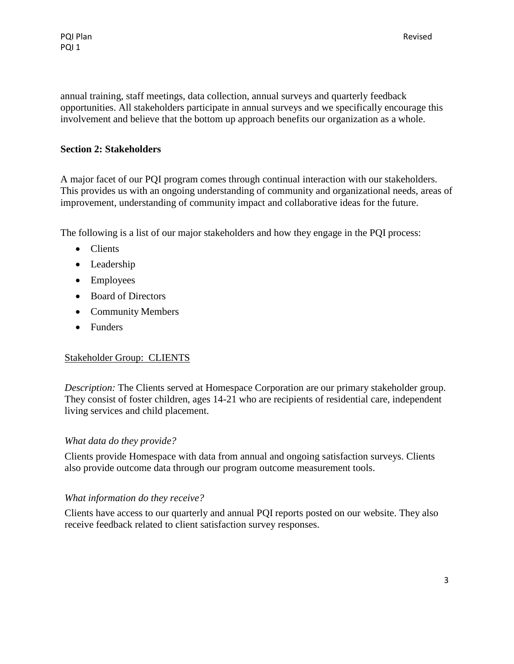annual training, staff meetings, data collection, annual surveys and quarterly feedback opportunities. All stakeholders participate in annual surveys and we specifically encourage this involvement and believe that the bottom up approach benefits our organization as a whole.

#### **Section 2: Stakeholders**

A major facet of our PQI program comes through continual interaction with our stakeholders. This provides us with an ongoing understanding of community and organizational needs, areas of improvement, understanding of community impact and collaborative ideas for the future.

The following is a list of our major stakeholders and how they engage in the PQI process:

- Clients
- Leadership
- Employees
- Board of Directors
- Community Members
- Funders

#### Stakeholder Group: CLIENTS

*Description:* The Clients served at Homespace Corporation are our primary stakeholder group. They consist of foster children, ages 14-21 who are recipients of residential care, independent living services and child placement.

#### *What data do they provide?*

Clients provide Homespace with data from annual and ongoing satisfaction surveys. Clients also provide outcome data through our program outcome measurement tools.

#### *What information do they receive?*

Clients have access to our quarterly and annual PQI reports posted on our website. They also receive feedback related to client satisfaction survey responses.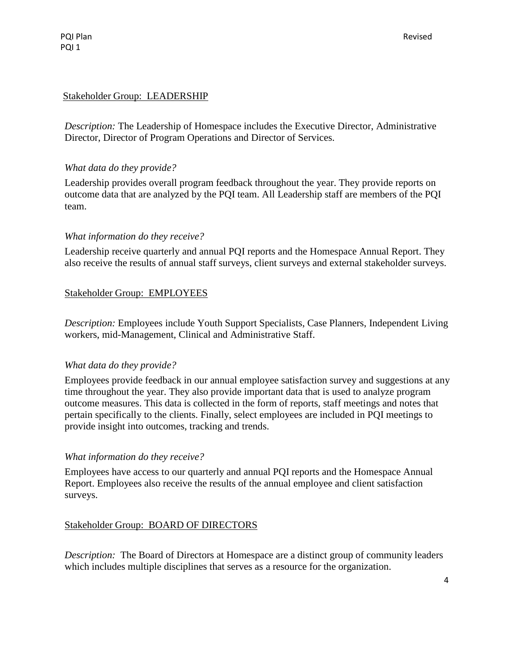PQI Plan PQI 1

#### Stakeholder Group: LEADERSHIP

*Description:* The Leadership of Homespace includes the Executive Director, Administrative Director, Director of Program Operations and Director of Services.

#### *What data do they provide?*

Leadership provides overall program feedback throughout the year. They provide reports on outcome data that are analyzed by the PQI team. All Leadership staff are members of the PQI team.

#### *What information do they receive?*

Leadership receive quarterly and annual PQI reports and the Homespace Annual Report. They also receive the results of annual staff surveys, client surveys and external stakeholder surveys.

#### Stakeholder Group: EMPLOYEES

*Description:* Employees include Youth Support Specialists, Case Planners, Independent Living workers, mid-Management, Clinical and Administrative Staff.

#### *What data do they provide?*

Employees provide feedback in our annual employee satisfaction survey and suggestions at any time throughout the year. They also provide important data that is used to analyze program outcome measures. This data is collected in the form of reports, staff meetings and notes that pertain specifically to the clients. Finally, select employees are included in PQI meetings to provide insight into outcomes, tracking and trends.

#### *What information do they receive?*

Employees have access to our quarterly and annual PQI reports and the Homespace Annual Report. Employees also receive the results of the annual employee and client satisfaction surveys.

#### Stakeholder Group: BOARD OF DIRECTORS

*Description:* The Board of Directors at Homespace are a distinct group of community leaders which includes multiple disciplines that serves as a resource for the organization.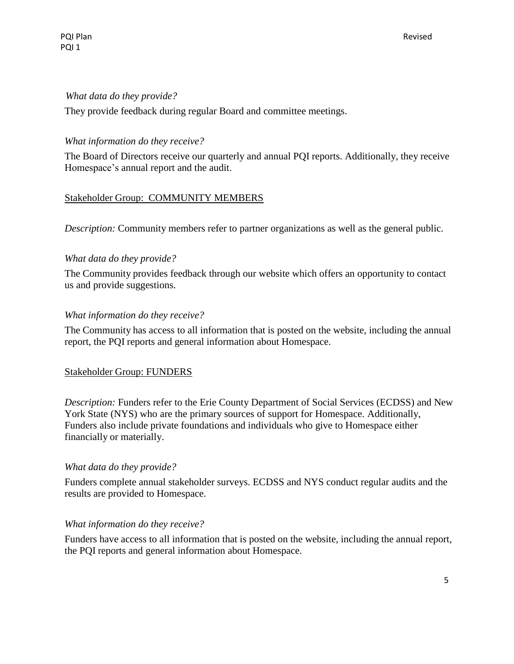#### *What data do they provide?*

They provide feedback during regular Board and committee meetings.

#### *What information do they receive?*

The Board of Directors receive our quarterly and annual PQI reports. Additionally, they receive Homespace's annual report and the audit.

#### Stakeholder Group: COMMUNITY MEMBERS

*Description:* Community members refer to partner organizations as well as the general public.

#### *What data do they provide?*

The Community provides feedback through our website which offers an opportunity to contact us and provide suggestions.

#### *What information do they receive?*

The Community has access to all information that is posted on the website, including the annual report, the PQI reports and general information about Homespace.

#### Stakeholder Group: FUNDERS

*Description:* Funders refer to the Erie County Department of Social Services (ECDSS) and New York State (NYS) who are the primary sources of support for Homespace. Additionally, Funders also include private foundations and individuals who give to Homespace either financially or materially.

#### *What data do they provide?*

Funders complete annual stakeholder surveys. ECDSS and NYS conduct regular audits and the results are provided to Homespace.

#### *What information do they receive?*

Funders have access to all information that is posted on the website, including the annual report, the PQI reports and general information about Homespace.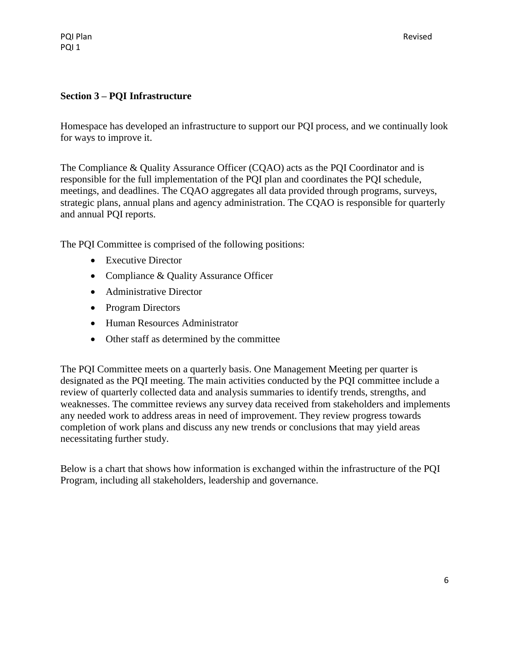#### **Section 3 – PQI Infrastructure**

Homespace has developed an infrastructure to support our PQI process, and we continually look for ways to improve it.

The Compliance & Quality Assurance Officer (CQAO) acts as the PQI Coordinator and is responsible for the full implementation of the PQI plan and coordinates the PQI schedule, meetings, and deadlines. The CQAO aggregates all data provided through programs, surveys, strategic plans, annual plans and agency administration. The CQAO is responsible for quarterly and annual PQI reports.

The PQI Committee is comprised of the following positions:

- Executive Director
- Compliance & Quality Assurance Officer
- Administrative Director
- Program Directors
- Human Resources Administrator
- Other staff as determined by the committee

The PQI Committee meets on a quarterly basis. One Management Meeting per quarter is designated as the PQI meeting. The main activities conducted by the PQI committee include a review of quarterly collected data and analysis summaries to identify trends, strengths, and weaknesses. The committee reviews any survey data received from stakeholders and implements any needed work to address areas in need of improvement. They review progress towards completion of work plans and discuss any new trends or conclusions that may yield areas necessitating further study.

Below is a chart that shows how information is exchanged within the infrastructure of the PQI Program, including all stakeholders, leadership and governance.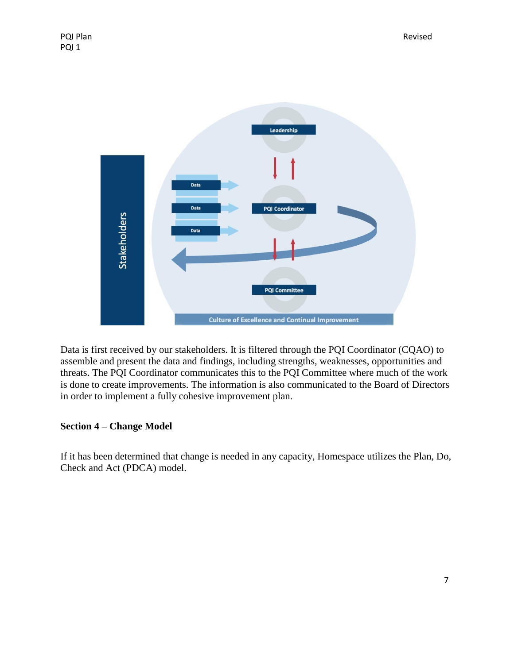

Data is first received by our stakeholders. It is filtered through the PQI Coordinator (CQAO) to assemble and present the data and findings, including strengths, weaknesses, opportunities and threats. The PQI Coordinator communicates this to the PQI Committee where much of the work is done to create improvements. The information is also communicated to the Board of Directors in order to implement a fully cohesive improvement plan.

#### **Section 4 – Change Model**

If it has been determined that change is needed in any capacity, Homespace utilizes the Plan, Do, Check and Act (PDCA) model.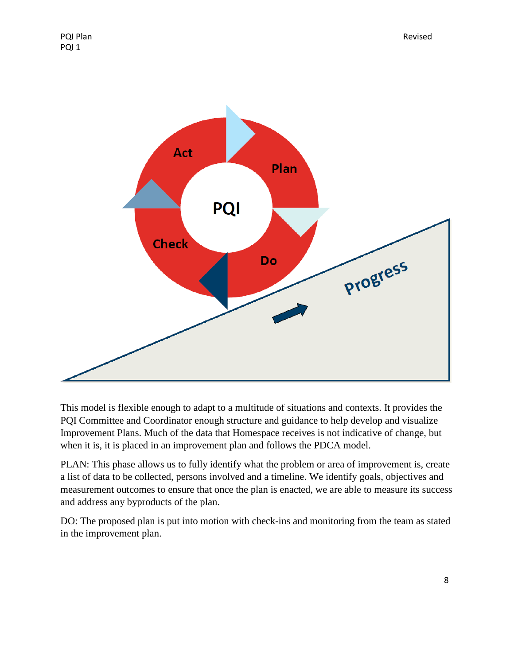

This model is flexible enough to adapt to a multitude of situations and contexts. It provides the PQI Committee and Coordinator enough structure and guidance to help develop and visualize Improvement Plans. Much of the data that Homespace receives is not indicative of change, but when it is, it is placed in an improvement plan and follows the PDCA model.

PLAN: This phase allows us to fully identify what the problem or area of improvement is, create a list of data to be collected, persons involved and a timeline. We identify goals, objectives and measurement outcomes to ensure that once the plan is enacted, we are able to measure its success and address any byproducts of the plan.

DO: The proposed plan is put into motion with check-ins and monitoring from the team as stated in the improvement plan.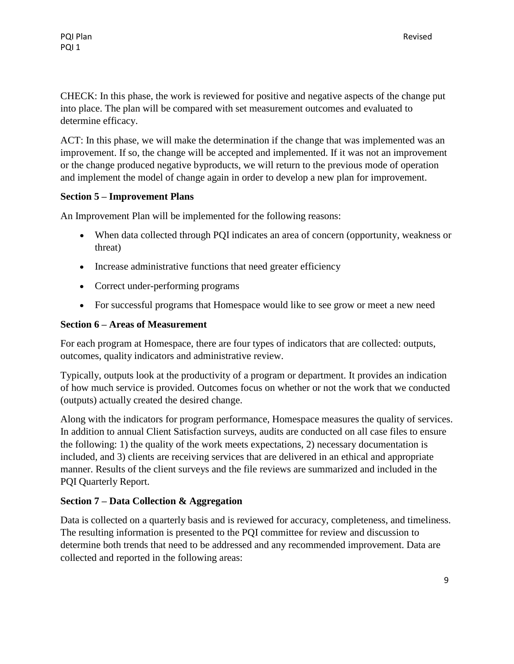CHECK: In this phase, the work is reviewed for positive and negative aspects of the change put into place. The plan will be compared with set measurement outcomes and evaluated to determine efficacy.

ACT: In this phase, we will make the determination if the change that was implemented was an improvement. If so, the change will be accepted and implemented. If it was not an improvement or the change produced negative byproducts, we will return to the previous mode of operation and implement the model of change again in order to develop a new plan for improvement.

#### **Section 5 – Improvement Plans**

An Improvement Plan will be implemented for the following reasons:

- When data collected through PQI indicates an area of concern (opportunity, weakness or threat)
- Increase administrative functions that need greater efficiency
- Correct under-performing programs
- For successful programs that Homespace would like to see grow or meet a new need

#### **Section 6 – Areas of Measurement**

For each program at Homespace, there are four types of indicators that are collected: outputs, outcomes, quality indicators and administrative review.

Typically, outputs look at the productivity of a program or department. It provides an indication of how much service is provided. Outcomes focus on whether or not the work that we conducted (outputs) actually created the desired change.

Along with the indicators for program performance, Homespace measures the quality of services. In addition to annual Client Satisfaction surveys, audits are conducted on all case files to ensure the following: 1) the quality of the work meets expectations, 2) necessary documentation is included, and 3) clients are receiving services that are delivered in an ethical and appropriate manner. Results of the client surveys and the file reviews are summarized and included in the PQI Quarterly Report.

#### **Section 7 – Data Collection & Aggregation**

Data is collected on a quarterly basis and is reviewed for accuracy, completeness, and timeliness. The resulting information is presented to the PQI committee for review and discussion to determine both trends that need to be addressed and any recommended improvement. Data are collected and reported in the following areas: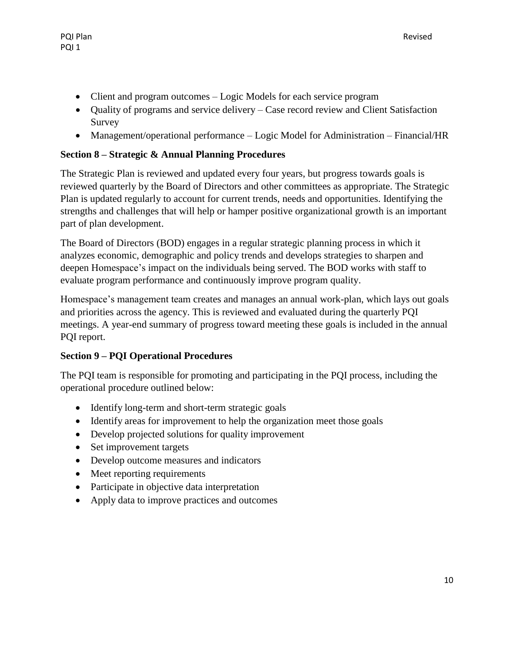- Client and program outcomes Logic Models for each service program
- Quality of programs and service delivery Case record review and Client Satisfaction Survey
- Management/operational performance Logic Model for Administration Financial/HR

### **Section 8 – Strategic & Annual Planning Procedures**

The Strategic Plan is reviewed and updated every four years, but progress towards goals is reviewed quarterly by the Board of Directors and other committees as appropriate. The Strategic Plan is updated regularly to account for current trends, needs and opportunities. Identifying the strengths and challenges that will help or hamper positive organizational growth is an important part of plan development.

The Board of Directors (BOD) engages in a regular strategic planning process in which it analyzes economic, demographic and policy trends and develops strategies to sharpen and deepen Homespace's impact on the individuals being served. The BOD works with staff to evaluate program performance and continuously improve program quality.

Homespace's management team creates and manages an annual work-plan, which lays out goals and priorities across the agency. This is reviewed and evaluated during the quarterly PQI meetings. A year-end summary of progress toward meeting these goals is included in the annual PQI report.

### **Section 9 – PQI Operational Procedures**

The PQI team is responsible for promoting and participating in the PQI process, including the operational procedure outlined below:

- Identify long-term and short-term strategic goals
- Identify areas for improvement to help the organization meet those goals
- Develop projected solutions for quality improvement
- Set improvement targets
- Develop outcome measures and indicators
- Meet reporting requirements
- Participate in objective data interpretation
- Apply data to improve practices and outcomes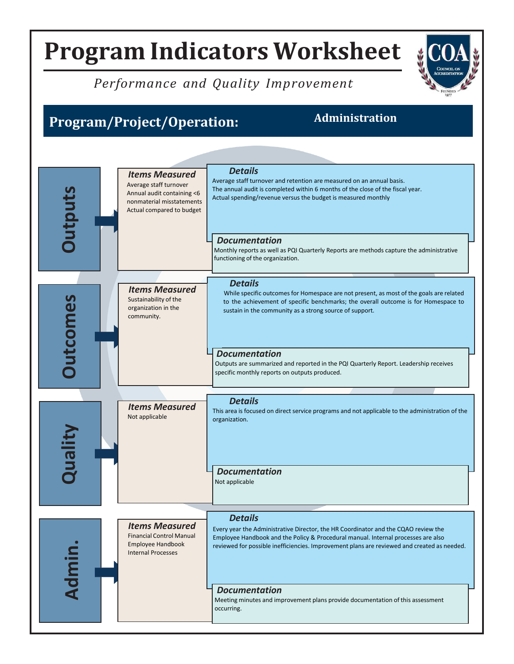### *Performance and Quality Improvement*

## **Program/Project/Operation: Administration**

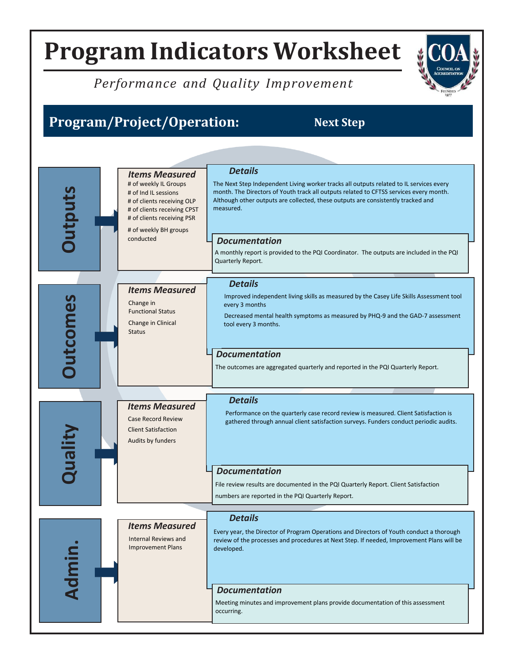## *Performance and Quality Improvement*

## **Program/Project/Operation: Next Step**

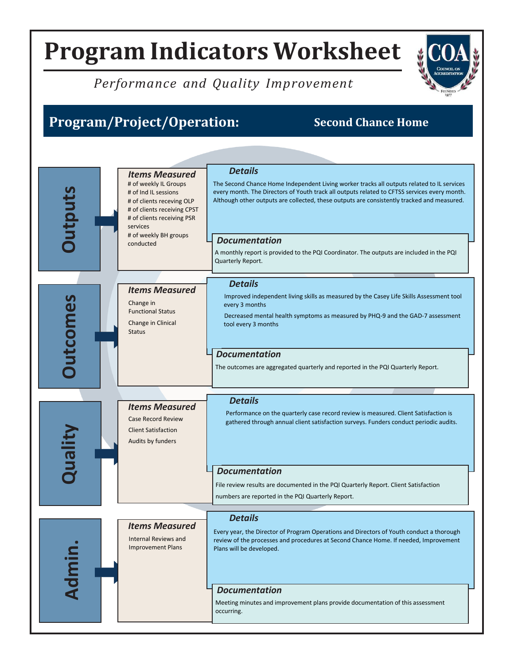## *Performance and Quality Improvement*

## **Program/Project/Operation: Second Chance Home**